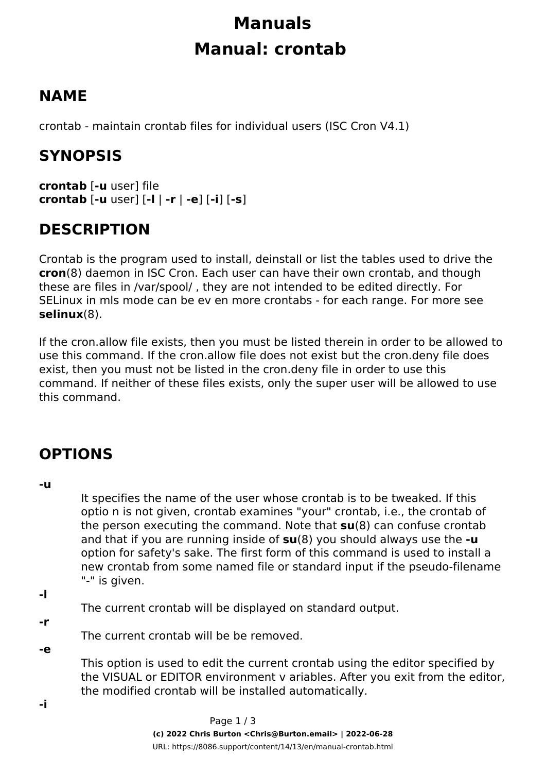# **Manuals Manual: crontab**

## **NAME**

crontab - maintain crontab files for individual users (ISC Cron V4.1)

## **SYNOPSIS**

**crontab** [**-u** *user*] *file* **crontab** [**-u** *user*] [**-l** | **-r** | **-e**] [**-i**] [**-s**]

## **DESCRIPTION**

*Crontab* is the program used to install, deinstall or list the tables used to drive the **cron**(8) daemon in ISC Cron. Each user can have their own crontab, and though these are files in */var/spool/* , they are not intended to be edited directly. For SELinux in mls mode can be ev en more crontabs - for each range. For more see **selinux**(8).

If the *cron.allow* file exists, then you must be listed therein in order to be allowed to use this command. If the *cron.allow* file does not exist but the *cron.deny* file does exist, then you must *not* be listed in the *cron.deny* file in order to use this command. If neither of these files exists, only the super user will be allowed to use this command.

## **OPTIONS**

**-u**

It specifies the name of the user whose crontab is to be tweaked. If this optio n is not given, *crontab* examines "your" crontab, i.e., the crontab of the person executing the command. Note that **su**(8) can confuse *crontab* and that if you are running inside of **su**(8) you should always use the **-u** option for safety's sake. The first form of this command is used to install a new crontab from some named file or standard input if the pseudo-filename "-" is given.

**-l**

The current crontab will be displayed on standard output.

**-r**

The current crontab will be be removed.

#### **-e**

This option is used to edit the current crontab using the editor specified by the VISUAL or EDITOR environment v ariables. After you exit from the editor, the modified crontab will be installed automatically.

**-i**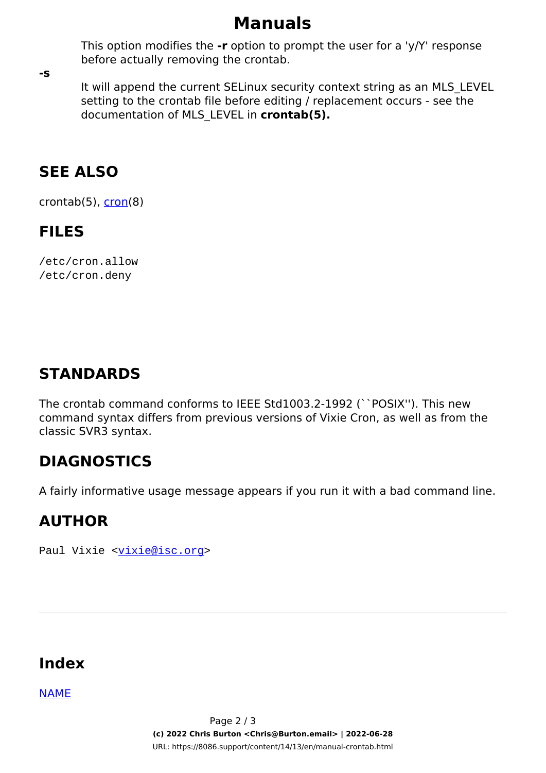#### **Manuals**

This option modifies the **-r** option to prompt the user for a 'y/Y' response before actually removing the crontab.

**-s**

It will append the current SELinux security context string as an MLS\_LEVEL setting to the crontab file before editing / replacement occurs - see the documentation of MLS\_LEVEL in **crontab(5).**

#### **SEE ALSO**

crontab $(5)$ , cron $(8)$ 

#### **FILES**

/etc/cron.allow /etc/cron.deny

#### **STANDARDS**

The *crontab* command conforms to IEEE Std1003.2-1992 (``POSIX''). This new command syntax differs from previous versions of Vixie Cron, as well as from the classic SVR3 syntax.

#### **DIAGNOSTICS**

A fairly informative usage message appears if you run it with a bad command line.

#### **AUTHOR**

Paul Vixie <vixie@isc.org>

#### **Index**

NAME

Page 2 / 3 **(c) 2022 Chris Burton <Chris@Burton.email> | 2022-06-28** [URL: https://8086.support/content/14/13/en/manual-crontab.html](https://8086.support/content/14/13/en/manual-crontab.html)